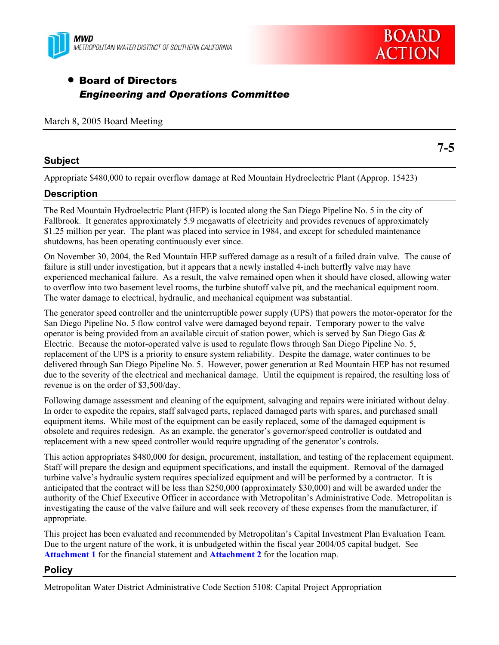



# • Board of Directors *Engineering and Operations Committee*

|  |  |  |  | March 8, 2005 Board Meeting |
|--|--|--|--|-----------------------------|
|--|--|--|--|-----------------------------|

### **Subject**

Appropriate \$480,000 to repair overflow damage at Red Mountain Hydroelectric Plant (Approp. 15423)

### **Description**

The Red Mountain Hydroelectric Plant (HEP) is located along the San Diego Pipeline No. 5 in the city of Fallbrook. It generates approximately 5.9 megawatts of electricity and provides revenues of approximately \$1.25 million per year. The plant was placed into service in 1984, and except for scheduled maintenance shutdowns, has been operating continuously ever since.

On November 30, 2004, the Red Mountain HEP suffered damage as a result of a failed drain valve. The cause of failure is still under investigation, but it appears that a newly installed 4-inch butterfly valve may have experienced mechanical failure. As a result, the valve remained open when it should have closed, allowing water to overflow into two basement level rooms, the turbine shutoff valve pit, and the mechanical equipment room. The water damage to electrical, hydraulic, and mechanical equipment was substantial.

The generator speed controller and the uninterruptible power supply (UPS) that powers the motor-operator for the San Diego Pipeline No. 5 flow control valve were damaged beyond repair. Temporary power to the valve operator is being provided from an available circuit of station power, which is served by San Diego Gas  $\&$ Electric. Because the motor-operated valve is used to regulate flows through San Diego Pipeline No. 5, replacement of the UPS is a priority to ensure system reliability. Despite the damage, water continues to be delivered through San Diego Pipeline No. 5. However, power generation at Red Mountain HEP has not resumed due to the severity of the electrical and mechanical damage. Until the equipment is repaired, the resulting loss of revenue is on the order of \$3,500/day.

Following damage assessment and cleaning of the equipment, salvaging and repairs were initiated without delay. In order to expedite the repairs, staff salvaged parts, replaced damaged parts with spares, and purchased small equipment items. While most of the equipment can be easily replaced, some of the damaged equipment is obsolete and requires redesign. As an example, the generator's governor/speed controller is outdated and replacement with a new speed controller would require upgrading of the generator's controls.

This action appropriates \$480,000 for design, procurement, installation, and testing of the replacement equipment. Staff will prepare the design and equipment specifications, and install the equipment. Removal of the damaged turbine valve's hydraulic system requires specialized equipment and will be performed by a contractor. It is anticipated that the contract will be less than \$250,000 (approximately \$30,000) and will be awarded under the authority of the Chief Executive Officer in accordance with Metropolitan's Administrative Code. Metropolitan is investigating the cause of the valve failure and will seek recovery of these expenses from the manufacturer, if appropriate.

This project has been evaluated and recommended by Metropolitan's Capital Investment Plan Evaluation Team. Due to the urgent nature of the work, it is unbudgeted within the fiscal year 2004/05 capital budget. See **Attachment 1** for the financial statement and **Attachment 2** for the location map.

### **Policy**

Metropolitan Water District Administrative Code Section 5108: Capital Project Appropriation

**7-5**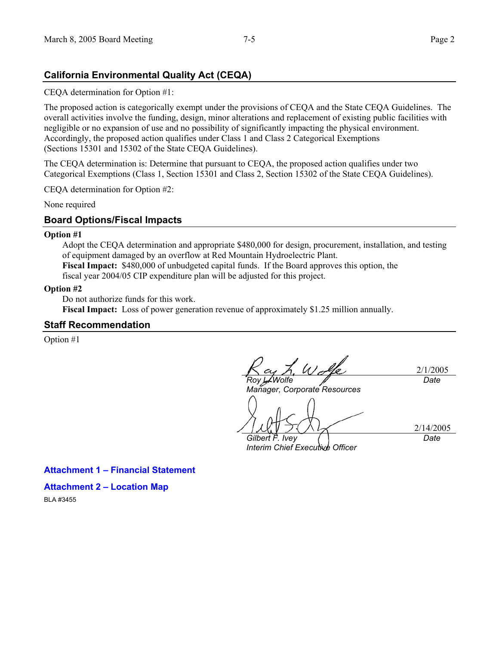## **California Environmental Quality Act (CEQA)**

CEQA determination for Option #1:

The proposed action is categorically exempt under the provisions of CEQA and the State CEQA Guidelines. The overall activities involve the funding, design, minor alterations and replacement of existing public facilities with negligible or no expansion of use and no possibility of significantly impacting the physical environment. Accordingly, the proposed action qualifies under Class 1 and Class 2 Categorical Exemptions (Sections 15301 and 15302 of the State CEQA Guidelines).

The CEQA determination is: Determine that pursuant to CEQA, the proposed action qualifies under two Categorical Exemptions (Class 1, Section 15301 and Class 2, Section 15302 of the State CEQA Guidelines).

CEQA determination for Option #2:

None required

### **Board Options/Fiscal Impacts**

#### **Option #1**

Adopt the CEQA determination and appropriate \$480,000 for design, procurement, installation, and testing of equipment damaged by an overflow at Red Mountain Hydroelectric Plant.

**Fiscal Impact:** \$480,000 of unbudgeted capital funds. If the Board approves this option, the fiscal year 2004/05 CIP expenditure plan will be adjusted for this project.

#### **Option #2**

Do not authorize funds for this work.

**Fiscal Impact:** Loss of power generation revenue of approximately \$1.25 million annually.

#### **Staff Recommendation**

Option #1

L Walle 2/1/2005 *Roy L. Wolfe Date* 

*Manager, Corporate Resources* 

*Gilbert F. Ivey* 

*Interim Chief Executive Officer* 

2/14/2005 *Date* 

**Attachment 1 – Financial Statement** 

### **Attachment 2 – Location Map**

BLA #3455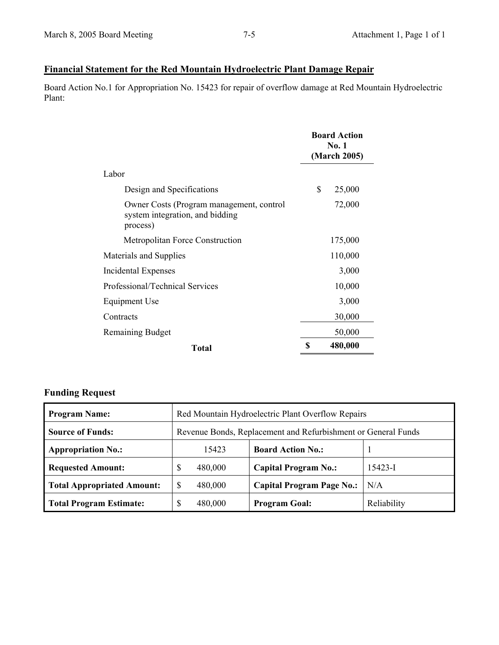# **Financial Statement for the Red Mountain Hydroelectric Plant Damage Repair**

Board Action No.1 for Appropriation No. 15423 for repair of overflow damage at Red Mountain Hydroelectric Plant:

|                                                                                         | <b>Board Action</b><br><b>No. 1</b><br>(March 2005) |         |
|-----------------------------------------------------------------------------------------|-----------------------------------------------------|---------|
| Labor                                                                                   |                                                     |         |
| Design and Specifications                                                               | \$                                                  | 25,000  |
| Owner Costs (Program management, control<br>system integration, and bidding<br>process) |                                                     | 72,000  |
| <b>Metropolitan Force Construction</b>                                                  |                                                     | 175,000 |
| Materials and Supplies                                                                  |                                                     | 110,000 |
| <b>Incidental Expenses</b>                                                              |                                                     | 3,000   |
| Professional/Technical Services                                                         |                                                     | 10,000  |
| Equipment Use                                                                           |                                                     | 3,000   |
| Contracts                                                                               |                                                     | 30,000  |
| <b>Remaining Budget</b>                                                                 |                                                     | 50,000  |
| <b>Total</b>                                                                            | S                                                   | 480,000 |

# **Funding Request**

| <b>Program Name:</b>              | Red Mountain Hydroelectric Plant Overflow Repairs             |                                  |             |  |
|-----------------------------------|---------------------------------------------------------------|----------------------------------|-------------|--|
| <b>Source of Funds:</b>           | Revenue Bonds, Replacement and Refurbishment or General Funds |                                  |             |  |
| <b>Appropriation No.:</b>         | 15423                                                         | <b>Board Action No.:</b>         |             |  |
| <b>Requested Amount:</b>          | \$<br>480,000                                                 | <b>Capital Program No.:</b>      | $15423 - I$ |  |
| <b>Total Appropriated Amount:</b> | $\mathbb{S}$<br>480,000                                       | <b>Capital Program Page No.:</b> | N/A         |  |
| <b>Total Program Estimate:</b>    | 480,000<br>S                                                  | <b>Program Goal:</b>             | Reliability |  |